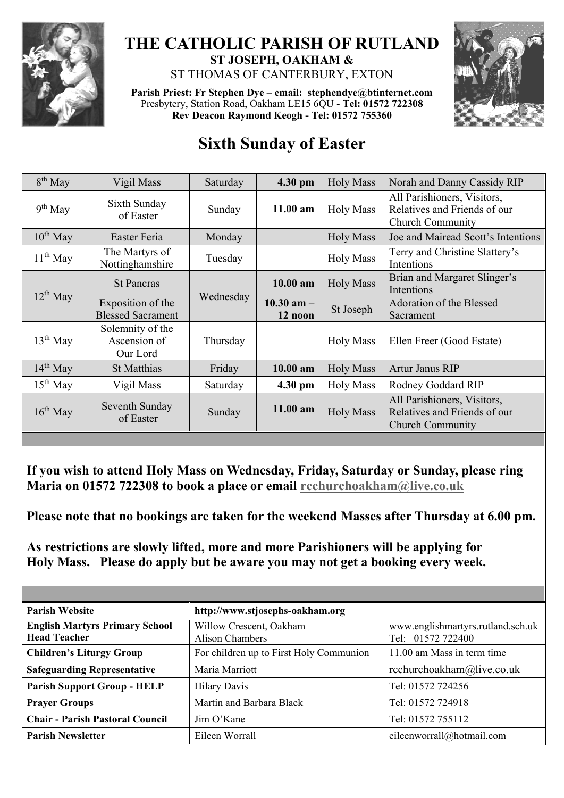

## **THE CATHOLIC PARISH OF RUTLAND ST JOSEPH, OAKHAM &**  ST THOMAS OF CANTERBURY, EXTON

**Parish Priest: Fr Stephen Dye** – **[email: stephendye@btinternet.com](mailto:email:%20%20stephendye@btinternet.com)** Presbytery, Station Road, Oakham LE15 6QU - **Tel: 01572 722308 Rev Deacon Raymond Keogh - Tel: 01572 755360**



## **Sixth Sunday of Easter**

| $8th$ May     | Vigil Mass                                    | Saturday  | 4.30 pm                   | <b>Holy Mass</b> | Norah and Danny Cassidy RIP                                                            |
|---------------|-----------------------------------------------|-----------|---------------------------|------------------|----------------------------------------------------------------------------------------|
| $9th$ May     | Sixth Sunday<br>of Easter                     | Sunday    | $11.00$ am                | <b>Holy Mass</b> | All Parishioners, Visitors,<br>Relatives and Friends of our<br><b>Church Community</b> |
| $10^{th}$ May | Easter Feria                                  | Monday    |                           | <b>Holy Mass</b> | Joe and Mairead Scott's Intentions                                                     |
| $11th$ May    | The Martyrs of<br>Nottinghamshire             | Tuesday   |                           | <b>Holy Mass</b> | Terry and Christine Slattery's<br>Intentions                                           |
| $12^{th}$ May | <b>St Pancras</b>                             | Wednesday | $10.00$ am                | <b>Holy Mass</b> | Brian and Margaret Slinger's<br>Intentions                                             |
|               | Exposition of the<br><b>Blessed Sacrament</b> |           | $10.30$ am $-$<br>12 noon | St Joseph        | Adoration of the Blessed<br>Sacrament                                                  |
| $13th$ May    | Solemnity of the<br>Ascension of<br>Our Lord  | Thursday  |                           | <b>Holy Mass</b> | Ellen Freer (Good Estate)                                                              |
| $14^{th}$ May | <b>St Matthias</b>                            | Friday    | $10.00$ am                | <b>Holy Mass</b> | Artur Janus RIP                                                                        |
| $15th$ May    | Vigil Mass                                    | Saturday  | 4.30 pm                   | <b>Holy Mass</b> | Rodney Goddard RIP                                                                     |
| $16^{th}$ May | Seventh Sunday<br>of Easter                   | Sunday    | 11.00 am                  | <b>Holy Mass</b> | All Parishioners, Visitors,<br>Relatives and Friends of our<br><b>Church Community</b> |
|               |                                               |           |                           |                  |                                                                                        |

**If you wish to attend Holy Mass on Wednesday, Friday, Saturday or Sunday, please ring Maria on 01572 722308 to book a place or email [rcchurchoakham@live.co.uk](mailto:rcchurchoakham@live.co.uk)**

**Please note that no bookings are taken for the weekend Masses after Thursday at 6.00 pm.**

**As restrictions are slowly lifted, more and more Parishioners will be applying for Holy Mass. Please do apply but be aware you may not get a booking every week.**

| <b>Parish Website</b>                                        | http://www.stjosephs-oakham.org                   |                                                        |  |  |
|--------------------------------------------------------------|---------------------------------------------------|--------------------------------------------------------|--|--|
| <b>English Martyrs Primary School</b><br><b>Head Teacher</b> | Willow Crescent, Oakham<br><b>Alison Chambers</b> | www.englishmartyrs.rutland.sch.uk<br>Tel: 01572 722400 |  |  |
| <b>Children's Liturgy Group</b>                              | For children up to First Holy Communion           | 11.00 am Mass in term time                             |  |  |
| <b>Safeguarding Representative</b>                           | Maria Marriott                                    | rcchurchoakham@live.co.uk                              |  |  |
| <b>Parish Support Group - HELP</b>                           | <b>Hilary Davis</b>                               | Tel: 01572 724256                                      |  |  |
| <b>Prayer Groups</b>                                         | Martin and Barbara Black                          | Tel: 01572 724918                                      |  |  |
| <b>Chair - Parish Pastoral Council</b>                       | Jim O'Kane                                        | Tel: 01572 755112                                      |  |  |
| <b>Parish Newsletter</b>                                     | Eileen Worrall                                    | eileenworrall@hotmail.com                              |  |  |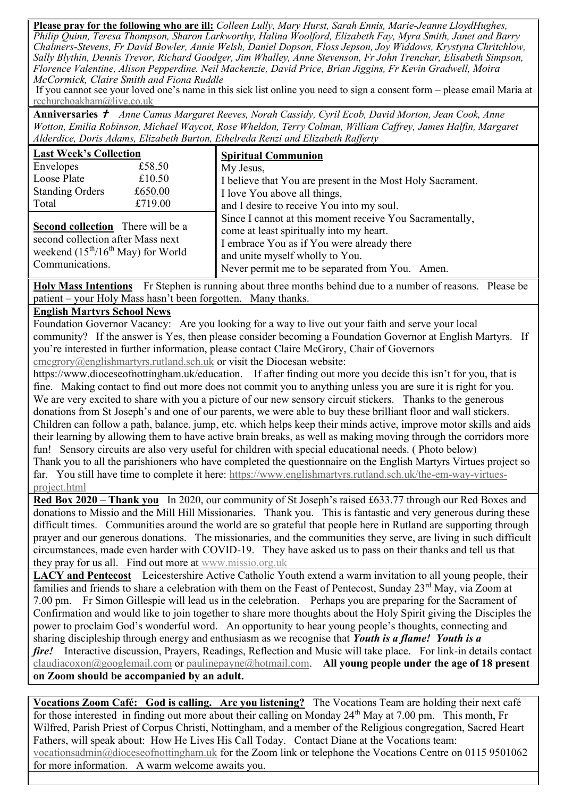**Please pray for the following who are ill:** *Colleen Lully, Mary Hurst, Sarah Ennis, Marie-Jeanne LloydHughes, Philip Quinn, Teresa Thompson, Sharon Larkworthy, Halina Woolford, Elizabeth Fay, Myra Smith, Janet and Barry Chalmers-Stevens, Fr David Bowler, Annie Welsh, Daniel Dopson, Floss Jepson, Joy Widdows, Krystyna Chritchlow, Sally Blythin, Dennis Trevor, Richard Goodger, Jim Whalley, Anne Stevenson, Fr John Trenchar, Elisabeth Simpson, Florence Valentine, Alison Pepperdine. Neil Mackenzie, David Price, Brian Jiggins, Fr Kevin Gradwell, Moira McCormick, Claire Smith and Fiona Ruddle*

If you cannot see your loved one's name in this sick list online you need to sign a consent form – please email Maria at [rcchurchoakham@live.co.uk](mailto:rcchurchoakham@live.co.uk)

Anniversaries  $\dot{\tau}$  Anne Camus Margaret Reeves, Norah Cassidy, Cyril Ecob, David Morton, Jean Cook, Anne *Wotton, Emilia Robinson, Michael Waycot, Rose Wheldon, Terry Colman, William Caffrey, James Halfin, Margaret Alderdice, Doris Adams, Elizabeth Burton, Ethelreda Renzi and Elizabeth Rafferty*

| <b>Last Week's Collection</b>            | <b>Spiritual Communion</b>                                 |  |  |
|------------------------------------------|------------------------------------------------------------|--|--|
| Envelopes<br>£58.50                      | My Jesus,                                                  |  |  |
| Loose Plate<br>£10.50                    | I believe that You are present in the Most Holy Sacrament. |  |  |
| <b>Standing Orders</b><br>£650.00        | I love You above all things,                               |  |  |
| £719.00<br>Total                         | and I desire to receive You into my soul.                  |  |  |
|                                          | Since I cannot at this moment receive You Sacramentally,   |  |  |
| <b>Second collection</b> There will be a | come at least spiritually into my heart.                   |  |  |
| second collection after Mass next        | I embrace You as if You were already there                 |  |  |
| weekend $(15th/16th$ May) for World      | and unite myself wholly to You.                            |  |  |
| Communications.                          | Never permit me to be separated from You. Amen.            |  |  |

**Holy Mass Intentions** Fr Stephen is running about three months behind due to a number of reasons. Please be patient – your Holy Mass hasn't been forgotten. Many thanks.

## **English Martyrs School News**

Foundation Governor Vacancy: Are you looking for a way to live out your faith and serve your local community? If the answer is Yes, then please consider becoming a Foundation Governor at English Martyrs. If you're interested in further information, please contact Claire McGrory, Chair of Governors

[cmcgrory@englishmartyrs.rutland.sch.uk](mailto:cmcgrory@englishmartyrs.rutland.sch.uk) or visit the Diocesan website:

https://www.dioceseofnottingham.uk/education. If after finding out more you decide this isn't for you, that is fine. Making contact to find out more does not commit you to anything unless you are sure it is right for you. We are very excited to share with you a picture of our new sensory circuit stickers. Thanks to the generous donations from St Joseph's and one of our parents, we were able to buy these brilliant floor and wall stickers. Children can follow a path, balance, jump, etc. which helps keep their minds active, improve motor skills and aids their learning by allowing them to have active brain breaks, as well as making moving through the corridors more fun! Sensory circuits are also very useful for children with special educational needs. ( Photo below) Thank you to all the parishioners who have completed the questionnaire on the English Martyrs Virtues project so far. You still have time to complete it here: [https://www.englishmartyrs.rutland.sch.uk/the-em-way-virtues-](https://www.englishmartyrs.rutland.sch.uk/the-em-way-virtues-project.html)

[project.html](https://www.englishmartyrs.rutland.sch.uk/the-em-way-virtues-project.html)

**Red Box 2020 – Thank you** In 2020, our community of St Joseph's raised £633.77 through our Red Boxes and donations to Missio and the Mill Hill Missionaries. Thank you. This is fantastic and very generous during these difficult times. Communities around the world are so grateful that people here in Rutland are supporting through prayer and our generous donations. The missionaries, and the communities they serve, are living in such difficult circumstances, made even harder with COVID-19. They have asked us to pass on their thanks and tell us that they pray for us all. Find out more at [www.missio.org.uk](http://www.missio.org.uk/)

**LACY and Pentecost** Leicestershire Active Catholic Youth extend a warm invitation to all young people, their families and friends to share a celebration with them on the Feast of Pentecost, Sunday 23<sup>rd</sup> May, via Zoom at 7.00 pm. Fr Simon Gillespie will lead us in the celebration. Perhaps you are preparing for the Sacrament of Confirmation and would like to join together to share more thoughts about the Holy Spirit giving the Disciples the power to proclaim God's wonderful word. An opportunity to hear young people's thoughts, connecting and sharing discipleship through energy and enthusiasm as we recognise that *Youth is a flame! Youth is a fire!* Interactive discussion, Prayers, Readings, Reflection and Music will take place. For link-in details contact [claudiacoxon@googlemail.com](mailto:claudiacoxon@googlemail.com) or [paulinepayne@hotmail.com.](mailto:paulinepayne@hotmail.com) **All young people under the age of 18 present on Zoom should be accompanied by an adult.**

**Vocations Zoom Café: God is calling. Are you listening?** The Vocations Team are holding their next café for those interested in finding out more about their calling on Monday  $24<sup>th</sup>$  May at 7.00 pm. This month, Fr Wilfred, Parish Priest of Corpus Christi, Nottingham, and a member of the Religious congregation, Sacred Heart Fathers, will speak about: How He Lives His Call Today. Contact Diane at the Vocations team: [vocationsadmin@dioceseofnottingham.uk](mailto:vocationsadmin@dioceseofnottingham.uk) for the Zoom link or telephone the Vocations Centre on 0115 9501062 for more information. A warm welcome awaits you.